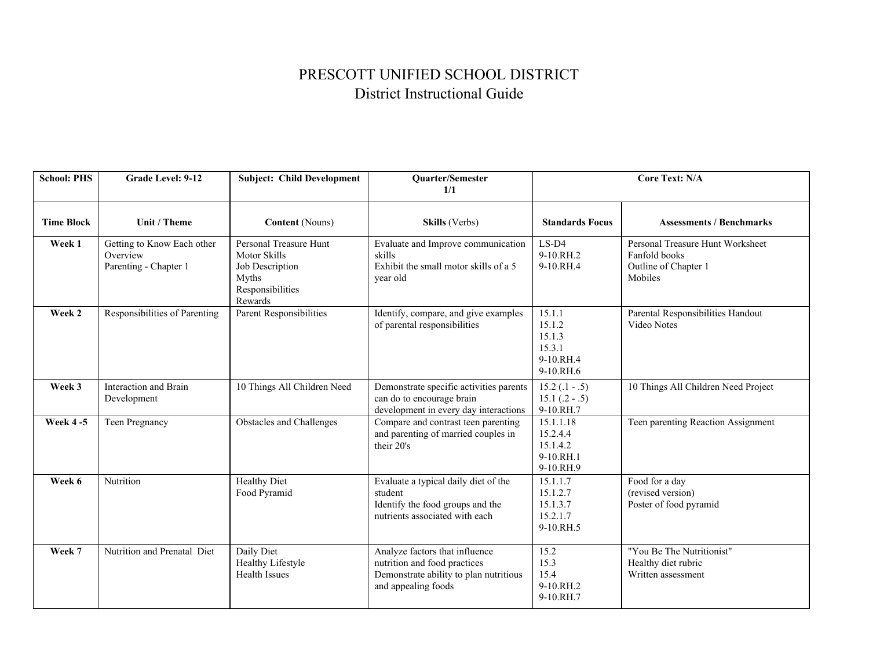## PRESCOTT UNIFIED SCHOOL DISTRICT District Instructional Guide

| <b>School: PHS</b> | Grade Level: 9-12                                               | <b>Subject: Child Development</b>                                                                 | Quarter/Semester<br>1/1                                                                                                         | <b>Core Text: N/A</b>                                          |                                                                                      |
|--------------------|-----------------------------------------------------------------|---------------------------------------------------------------------------------------------------|---------------------------------------------------------------------------------------------------------------------------------|----------------------------------------------------------------|--------------------------------------------------------------------------------------|
| <b>Time Block</b>  | Unit / Theme                                                    | <b>Content</b> (Nouns)                                                                            | Skills (Verbs)                                                                                                                  | <b>Standards Focus</b>                                         | <b>Assessments / Benchmarks</b>                                                      |
| Week 1             | Getting to Know Each other<br>Overview<br>Parenting - Chapter 1 | Personal Treasure Hunt<br>Motor Skills<br>Job Description<br>Myths<br>Responsibilities<br>Rewards | Evaluate and Improve communication<br>skills<br>Exhibit the small motor skills of a 5<br>vear old                               | $LS-D4$<br>9-10.RH.2<br>9-10.RH.4                              | Personal Treasure Hunt Worksheet<br>Fanfold books<br>Outline of Chapter 1<br>Mobiles |
| Week 2             | Responsibilities of Parenting                                   | Parent Responsibilities                                                                           | Identify, compare, and give examples<br>of parental responsibilities                                                            | 15.1.1<br>15.1.2<br>15.1.3<br>15.3.1<br>9-10.RH.4<br>9-10.RH.6 | Parental Responsibilities Handout<br>Video Notes                                     |
| Week 3             | Interaction and Brain<br>Development                            | 10 Things All Children Need                                                                       | Demonstrate specific activities parents<br>can do to encourage brain<br>development in every day interactions                   | $15.2(.1-.5)$<br>$15.1$ $(.2 - .5)$<br>9-10.RH.7               | 10 Things All Children Need Project                                                  |
| <b>Week 4-5</b>    | Teen Pregnancy                                                  | <b>Obstacles and Challenges</b>                                                                   | Compare and contrast teen parenting<br>and parenting of married couples in<br>their 20's                                        | 15.1.1.18<br>15.2.4.4<br>15.1.4.2<br>9-10.RH.1<br>9-10.RH.9    | Teen parenting Reaction Assignment                                                   |
| Week 6             | Nutrition                                                       | <b>Healthy Diet</b><br>Food Pyramid                                                               | Evaluate a typical daily diet of the<br>student<br>Identify the food groups and the<br>nutrients associated with each           | 15.1.1.7<br>15.1.2.7<br>15.1.3.7<br>15.2.1.7<br>9-10.RH.5      | Food for a day<br>(revised version)<br>Poster of food pyramid                        |
| Week 7             | Nutrition and Prenatal Diet                                     | Daily Diet<br>Healthy Lifestyle<br><b>Health Issues</b>                                           | Analyze factors that influence<br>nutrition and food practices<br>Demonstrate ability to plan nutritious<br>and appealing foods | 15.2<br>15.3<br>15.4<br>9-10.RH.2<br>9-10.RH.7                 | "You Be The Nutritionist"<br>Healthy diet rubric<br>Written assessment               |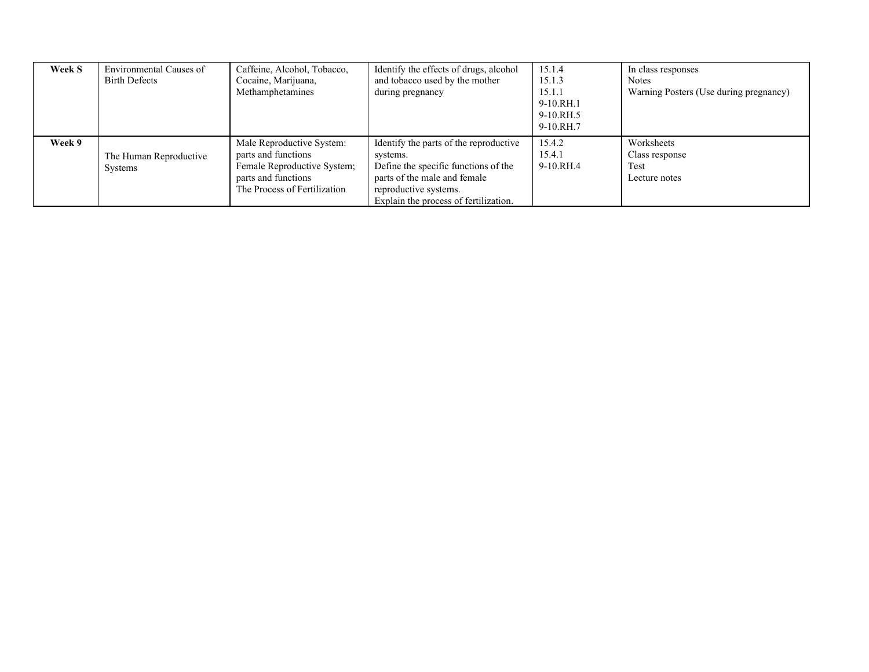| <b>Week S</b> | Environmental Causes of<br><b>Birth Defects</b> | Caffeine, Alcohol, Tobacco,<br>Cocaine, Marijuana,<br>Methamphetamines                                                                 | Identify the effects of drugs, alcohol<br>and tobacco used by the mother<br>during pregnancy                                                                                                 | 15.1.4<br>15.1.3<br>15.1.1<br>$9-10.RH.1$<br>9-10.RH.5<br>$9-10$ RH $7$ | In class responses<br><b>Notes</b><br>Warning Posters (Use during pregnancy) |
|---------------|-------------------------------------------------|----------------------------------------------------------------------------------------------------------------------------------------|----------------------------------------------------------------------------------------------------------------------------------------------------------------------------------------------|-------------------------------------------------------------------------|------------------------------------------------------------------------------|
| Week 9        | The Human Reproductive<br>Systems               | Male Reproductive System:<br>parts and functions<br>Female Reproductive System;<br>parts and functions<br>The Process of Fertilization | Identify the parts of the reproductive<br>systems.<br>Define the specific functions of the<br>parts of the male and female<br>reproductive systems.<br>Explain the process of fertilization. | 15.4.2<br>15.4.1<br>9-10.RH.4                                           | Worksheets<br>Class response<br>Test<br>Lecture notes                        |